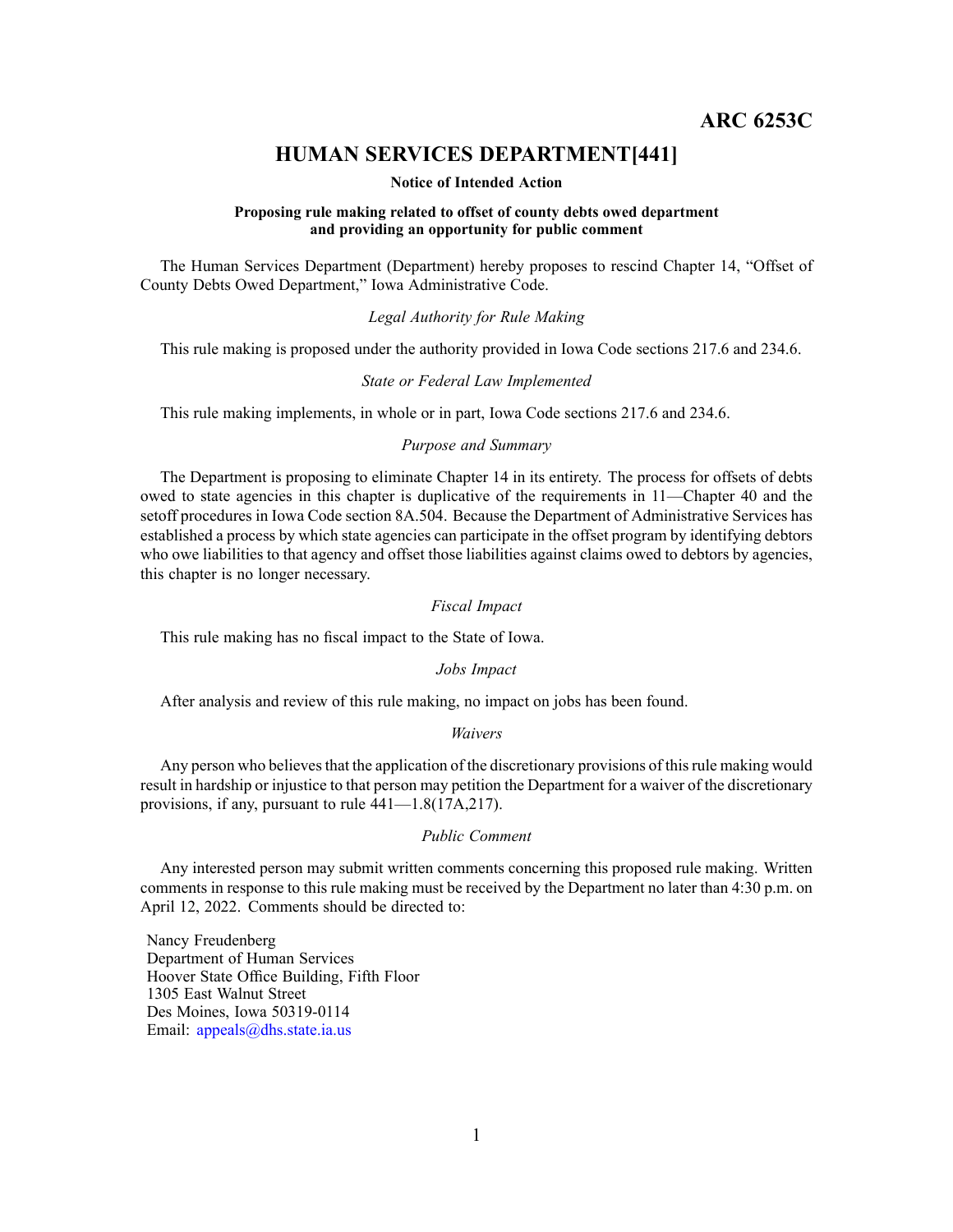**ARC 6253C**

# **HUMAN SERVICES DEPARTMENT[441]**

#### **Notice of Intended Action**

#### **Proposing rule making related to offset of county debts owed department and providing an opportunity for public comment**

The Human Services Department (Department) hereby proposes to rescind Chapter 14, "Offset of County Debts Owed Department," Iowa Administrative Code.

## *Legal Authority for Rule Making*

This rule making is proposed under the authority provided in Iowa Code sections 217.6 and 234.6.

#### *State or Federal Law Implemented*

This rule making implements, in whole or in part, Iowa Code sections 217.6 and 234.6.

## *Purpose and Summary*

The Department is proposing to eliminate Chapter 14 in its entirety. The process for offsets of debts owed to state agencies in this chapter is duplicative of the requirements in 11—Chapter 40 and the setoff procedures in Iowa Code section 8A.504. Because the Department of Administrative Services has established <sup>a</sup> process by which state agencies can participate in the offset program by identifying debtors who owe liabilities to that agency and offset those liabilities against claims owed to debtors by agencies, this chapter is no longer necessary.

## *Fiscal Impact*

This rule making has no fiscal impact to the State of Iowa.

## *Jobs Impact*

After analysis and review of this rule making, no impact on jobs has been found.

#### *Waivers*

Any person who believes that the application of the discretionary provisions of this rule making would result in hardship or injustice to that person may petition the Department for <sup>a</sup> waiver of the discretionary provisions, if any, pursuan<sup>t</sup> to rule 441—1.8(17A,217).

#### *Public Comment*

Any interested person may submit written comments concerning this proposed rule making. Written comments in response to this rule making must be received by the Department no later than 4:30 p.m. on April 12, 2022. Comments should be directed to:

Nancy Freudenberg Department of Human Services Hoover State Office Building, Fifth Floor 1305 East Walnut Street Des Moines, Iowa 50319-0114 Email: appea[ls@dhs.state.ia.us](mailto:appeals@dhs.state.ia.us)